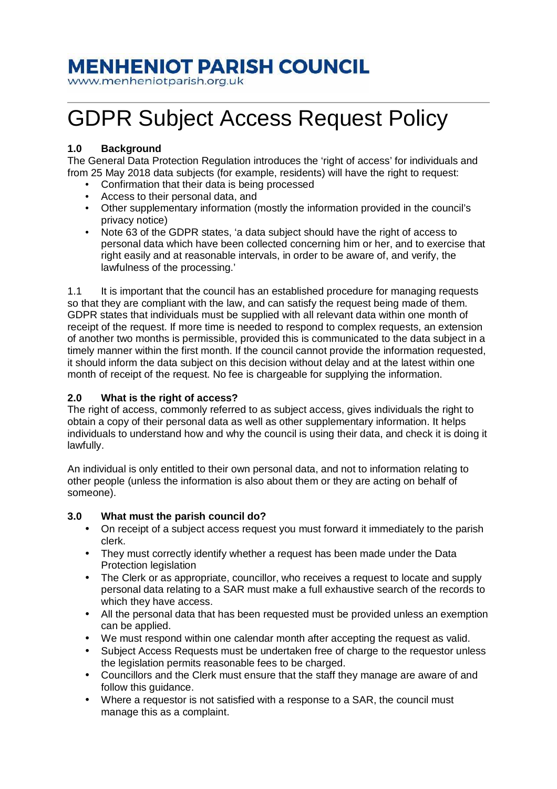# **MENHENIOT PARISH COUNCIL**

www.menheniotparish.org.uk

# GDPR Subject Access Request Policy

## **1.0 Background**

The General Data Protection Regulation introduces the 'right of access' for individuals and from 25 May 2018 data subjects (for example, residents) will have the right to request:

- Confirmation that their data is being processed
- Access to their personal data, and
- Other supplementary information (mostly the information provided in the council's privacy notice)
- Note 63 of the GDPR states, 'a data subject should have the right of access to personal data which have been collected concerning him or her, and to exercise that right easily and at reasonable intervals, in order to be aware of, and verify, the lawfulness of the processing.'

1.1 It is important that the council has an established procedure for managing requests so that they are compliant with the law, and can satisfy the request being made of them. GDPR states that individuals must be supplied with all relevant data within one month of receipt of the request. If more time is needed to respond to complex requests, an extension of another two months is permissible, provided this is communicated to the data subject in a timely manner within the first month. If the council cannot provide the information requested, it should inform the data subject on this decision without delay and at the latest within one month of receipt of the request. No fee is chargeable for supplying the information.

### **2.0 What is the right of access?**

The right of access, commonly referred to as subject access, gives individuals the right to obtain a copy of their personal data as well as other supplementary information. It helps individuals to understand how and why the council is using their data, and check it is doing it lawfully.

An individual is only entitled to their own personal data, and not to information relating to other people (unless the information is also about them or they are acting on behalf of someone).

### **3.0 What must the parish council do?**

- On receipt of a subject access request you must forward it immediately to the parish clerk.
- They must correctly identify whether a request has been made under the Data Protection legislation
- The Clerk or as appropriate, councillor, who receives a request to locate and supply personal data relating to a SAR must make a full exhaustive search of the records to which they have access.
- All the personal data that has been requested must be provided unless an exemption can be applied.
- We must respond within one calendar month after accepting the request as valid.
- Subject Access Requests must be undertaken free of charge to the requestor unless the legislation permits reasonable fees to be charged.
- Councillors and the Clerk must ensure that the staff they manage are aware of and follow this quidance.
- Where a requestor is not satisfied with a response to a SAR, the council must manage this as a complaint.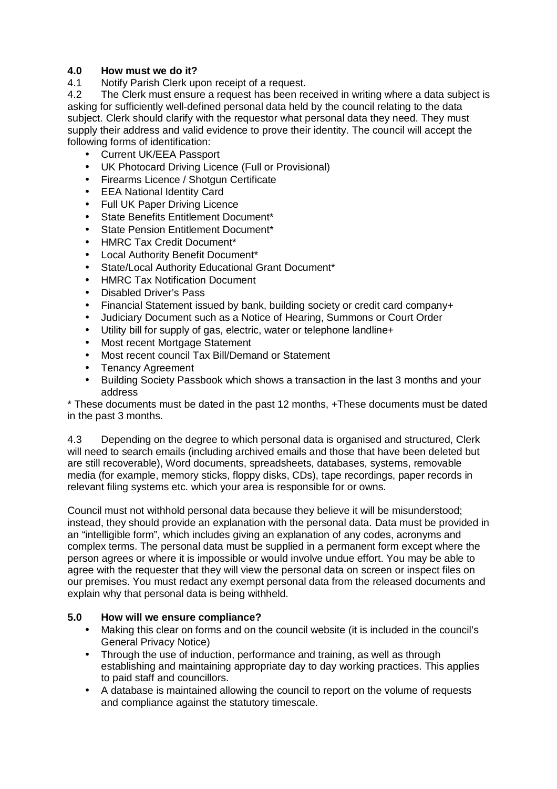#### **4.0 How must we do it?**

4.1 Notify Parish Clerk upon receipt of a request.

4.2 The Clerk must ensure a request has been received in writing where a data subject is asking for sufficiently well-defined personal data held by the council relating to the data subject. Clerk should clarify with the requestor what personal data they need. They must supply their address and valid evidence to prove their identity. The council will accept the following forms of identification:

- Current UK/EEA Passport
- UK Photocard Driving Licence (Full or Provisional)
- Firearms Licence / Shotgun Certificate
- EEA National Identity Card
- Full UK Paper Driving Licence
- State Benefits Entitlement Document\*
- State Pension Entitlement Document\*
- HMRC Tax Credit Document\*
- Local Authority Benefit Document\*
- State/Local Authority Educational Grant Document\*
- HMRC Tax Notification Document
- Disabled Driver's Pass
- Financial Statement issued by bank, building society or credit card company+
- Judiciary Document such as a Notice of Hearing, Summons or Court Order
- Utility bill for supply of gas, electric, water or telephone landline+
- Most recent Mortgage Statement
- Most recent council Tax Bill/Demand or Statement
- Tenancy Agreement
- Building Society Passbook which shows a transaction in the last 3 months and your address

\* These documents must be dated in the past 12 months, +These documents must be dated in the past 3 months.

4.3 Depending on the degree to which personal data is organised and structured, Clerk will need to search emails (including archived emails and those that have been deleted but are still recoverable), Word documents, spreadsheets, databases, systems, removable media (for example, memory sticks, floppy disks, CDs), tape recordings, paper records in relevant filing systems etc. which your area is responsible for or owns.

Council must not withhold personal data because they believe it will be misunderstood; instead, they should provide an explanation with the personal data. Data must be provided in an "intelligible form", which includes giving an explanation of any codes, acronyms and complex terms. The personal data must be supplied in a permanent form except where the person agrees or where it is impossible or would involve undue effort. You may be able to agree with the requester that they will view the personal data on screen or inspect files on our premises. You must redact any exempt personal data from the released documents and explain why that personal data is being withheld.

#### **5.0 How will we ensure compliance?**

- Making this clear on forms and on the council website (it is included in the council's General Privacy Notice)
- Through the use of induction, performance and training, as well as through establishing and maintaining appropriate day to day working practices. This applies to paid staff and councillors.
- A database is maintained allowing the council to report on the volume of requests and compliance against the statutory timescale.